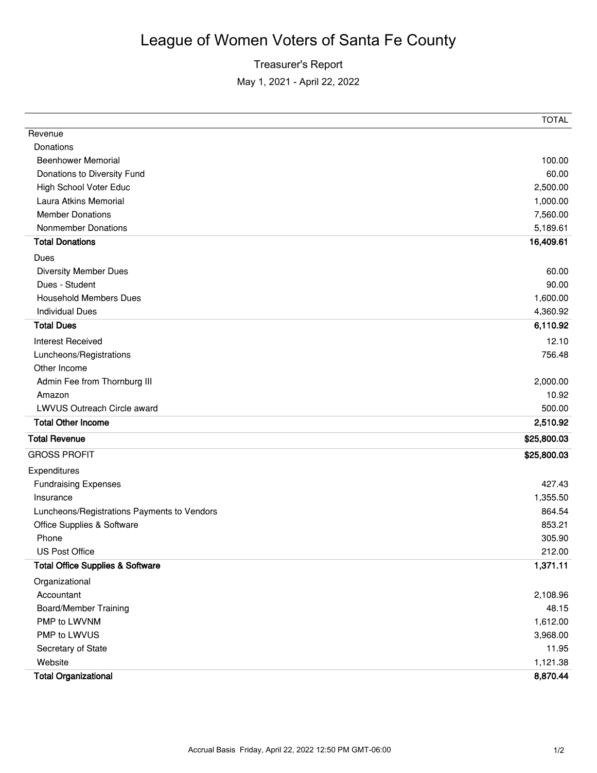## League of Women Voters of Santa Fe County

## Treasurer's Report May 1, 2021 - April 22, 2022

|                                             | <b>TOTAL</b> |
|---------------------------------------------|--------------|
| Revenue                                     |              |
| Donations                                   |              |
| <b>Beenhower Memorial</b>                   | 100.00       |
| Donations to Diversity Fund                 | 60.00        |
| <b>High School Voter Educ</b>               | 2,500.00     |
| Laura Atkins Memorial                       | 1,000.00     |
| <b>Member Donations</b>                     | 7,560.00     |
| <b>Nonmember Donations</b>                  | 5,189.61     |
| <b>Total Donations</b>                      | 16,409.61    |
| Dues                                        |              |
| <b>Diversity Member Dues</b>                | 60.00        |
| Dues - Student                              | 90.00        |
| <b>Household Members Dues</b>               | 1,600.00     |
| <b>Individual Dues</b>                      | 4,360.92     |
| <b>Total Dues</b>                           | 6,110.92     |
| <b>Interest Received</b>                    | 12.10        |
| Luncheons/Registrations                     | 756.48       |
| Other Income                                |              |
| Admin Fee from Thornburg III                | 2,000.00     |
| Amazon                                      | 10.92        |
| LWVUS Outreach Circle award                 | 500.00       |
| <b>Total Other Income</b>                   | 2,510.92     |
| <b>Total Revenue</b>                        | \$25,800.03  |
| <b>GROSS PROFIT</b>                         | \$25,800.03  |
| Expenditures                                |              |
| <b>Fundraising Expenses</b>                 | 427.43       |
| Insurance                                   | 1,355.50     |
| Luncheons/Registrations Payments to Vendors | 864.54       |
| Office Supplies & Software                  | 853.21       |
| Phone                                       | 305.90       |
| US Post Office                              | 212.00       |
| <b>Total Office Supplies &amp; Software</b> | 1,371.11     |
| Organizational                              |              |
| Accountant                                  | 2,108.96     |
| <b>Board/Member Training</b>                | 48.15        |
| PMP to LWVNM                                | 1,612.00     |
| PMP to LWVUS                                | 3,968.00     |
| Secretary of State                          | 11.95        |
| Website                                     | 1,121.38     |
| <b>Total Organizational</b>                 | 8,870.44     |